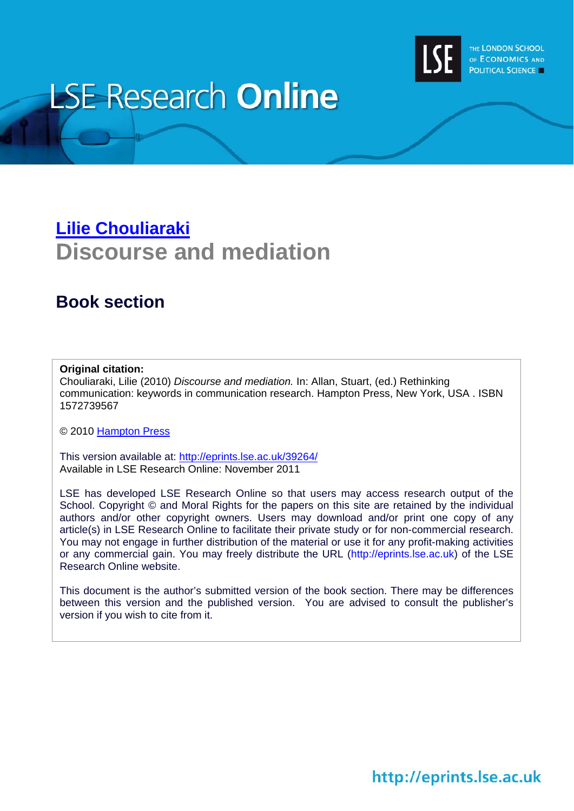

# **LSE Research Online**

## **[Lilie Chouliaraki](http://www2.lse.ac.uk/researchAndExpertise/Experts/profile.aspx?KeyValue=l.chouliaraki@lse.ac.uk) Discourse and mediation**

### **Book section**

#### **Original citation:**

Chouliaraki, Lilie (2010) *Discourse and mediation.* In: Allan, Stuart, (ed.) Rethinking communication: keywords in communication research. Hampton Press, New York, USA . ISBN 1572739567

© 2010 [Hampton Press](http://www.hamptonpress.com/)

This version available at: <http://eprints.lse.ac.uk/39264/> Available in LSE Research Online: November 2011

LSE has developed LSE Research Online so that users may access research output of the School. Copyright © and Moral Rights for the papers on this site are retained by the individual authors and/or other copyright owners. Users may download and/or print one copy of any article(s) in LSE Research Online to facilitate their private study or for non-commercial research. You may not engage in further distribution of the material or use it for any profit-making activities or any commercial gain. You may freely distribute the URL (http://eprints.lse.ac.uk) of the LSE Research Online website.

This document is the author's submitted version of the book section. There may be differences between this version and the published version. You are advised to consult the publisher's version if you wish to cite from it.

## http://eprints.lse.ac.uk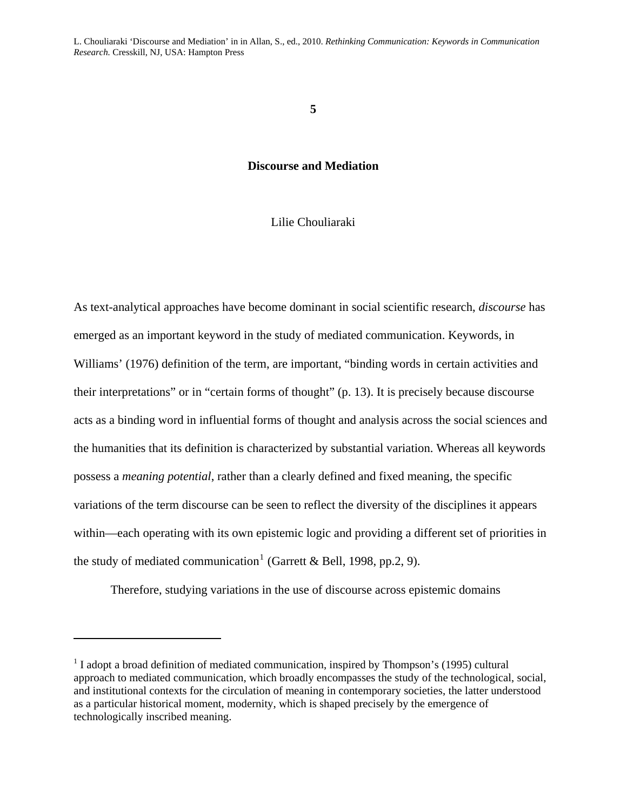#### **5**

#### **Discourse and Mediation**

#### Lilie Chouliaraki

As text-analytical approaches have become dominant in social scientific research, *discourse* has emerged as an important keyword in the study of mediated communication. Keywords, in Williams' (1976) definition of the term, are important, "binding words in certain activities and their interpretations" or in "certain forms of thought" (p. 13). It is precisely because discourse acts as a binding word in influential forms of thought and analysis across the social sciences and the humanities that its definition is characterized by substantial variation. Whereas all keywords possess a *meaning potential*, rather than a clearly defined and fixed meaning, the specific variations of the term discourse can be seen to reflect the diversity of the disciplines it appears within—each operating with its own epistemic logic and providing a different set of priorities in the study of mediated communication<sup>[1](#page-1-0)</sup> (Garrett & Bell, 1998, pp.2, 9).

Therefore, studying variations in the use of discourse across epistemic domains

1

<span id="page-1-0"></span> $1$  I adopt a broad definition of mediated communication, inspired by Thompson's (1995) cultural approach to mediated communication, which broadly encompasses the study of the technological, social, and institutional contexts for the circulation of meaning in contemporary societies, the latter understood as a particular historical moment, modernity, which is shaped precisely by the emergence of technologically inscribed meaning.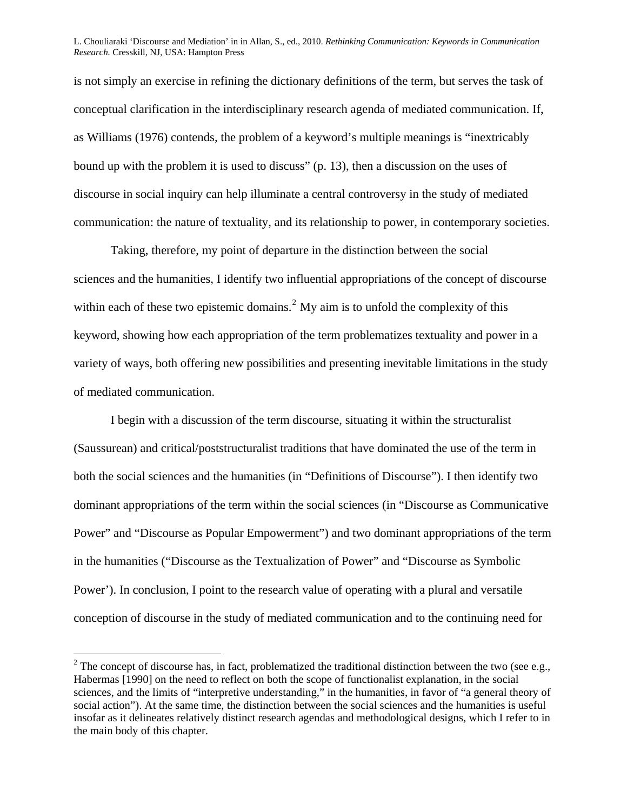is not simply an exercise in refining the dictionary definitions of the term, but serves the task of conceptual clarification in the interdisciplinary research agenda of mediated communication. If, as Williams (1976) contends, the problem of a keyword's multiple meanings is "inextricably bound up with the problem it is used to discuss" (p. 13), then a discussion on the uses of discourse in social inquiry can help illuminate a central controversy in the study of mediated communication: the nature of textuality, and its relationship to power, in contemporary societies.

Taking, therefore, my point of departure in the distinction between the social sciences and the humanities, I identify two influential appropriations of the concept of discourse within each of these two epistemic domains.<sup>[2](#page-2-0)</sup> My aim is to unfold the complexity of this keyword, showing how each appropriation of the term problematizes textuality and power in a variety of ways, both offering new possibilities and presenting inevitable limitations in the study of mediated communication.

I begin with a discussion of the term discourse, situating it within the structuralist (Saussurean) and critical/poststructuralist traditions that have dominated the use of the term in both the social sciences and the humanities (in "Definitions of Discourse"). I then identify two dominant appropriations of the term within the social sciences (in "Discourse as Communicative Power" and "Discourse as Popular Empowerment") and two dominant appropriations of the term in the humanities ("Discourse as the Textualization of Power" and "Discourse as Symbolic Power'). In conclusion, I point to the research value of operating with a plural and versatile conception of discourse in the study of mediated communication and to the continuing need for

 $\overline{a}$ 

<span id="page-2-0"></span><sup>&</sup>lt;sup>2</sup> The concept of discourse has, in fact, problematized the traditional distinction between the two (see e.g., Habermas [1990] on the need to reflect on both the scope of functionalist explanation, in the social sciences, and the limits of "interpretive understanding," in the humanities, in favor of "a general theory of social action"). At the same time, the distinction between the social sciences and the humanities is useful insofar as it delineates relatively distinct research agendas and methodological designs, which I refer to in the main body of this chapter.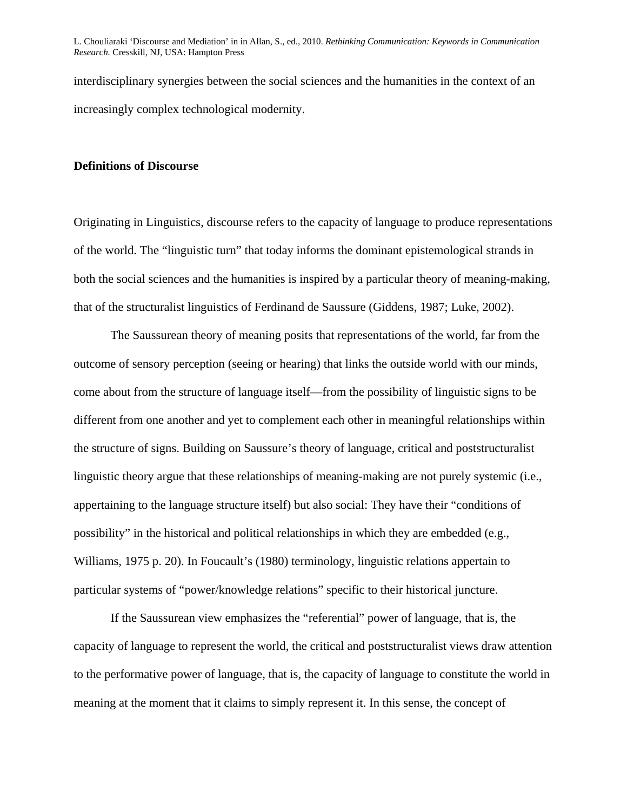interdisciplinary synergies between the social sciences and the humanities in the context of an increasingly complex technological modernity.

#### **Definitions of Discourse**

Originating in Linguistics, discourse refers to the capacity of language to produce representations of the world. The "linguistic turn" that today informs the dominant epistemological strands in both the social sciences and the humanities is inspired by a particular theory of meaning-making, that of the structuralist linguistics of Ferdinand de Saussure (Giddens, 1987; Luke, 2002).

The Saussurean theory of meaning posits that representations of the world, far from the outcome of sensory perception (seeing or hearing) that links the outside world with our minds, come about from the structure of language itself—from the possibility of linguistic signs to be different from one another and yet to complement each other in meaningful relationships within the structure of signs. Building on Saussure's theory of language, critical and poststructuralist linguistic theory argue that these relationships of meaning-making are not purely systemic (i.e., appertaining to the language structure itself) but also social: They have their "conditions of possibility" in the historical and political relationships in which they are embedded (e.g., Williams, 1975 p. 20). In Foucault's (1980) terminology, linguistic relations appertain to particular systems of "power/knowledge relations" specific to their historical juncture.

If the Saussurean view emphasizes the "referential" power of language, that is, the capacity of language to represent the world, the critical and poststructuralist views draw attention to the performative power of language, that is, the capacity of language to constitute the world in meaning at the moment that it claims to simply represent it. In this sense, the concept of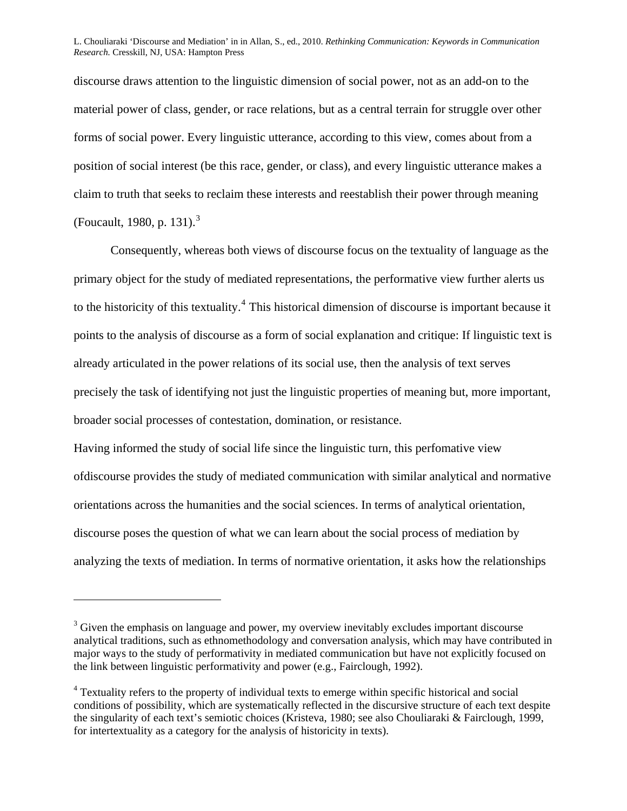discourse draws attention to the linguistic dimension of social power, not as an add-on to the material power of class, gender, or race relations, but as a central terrain for struggle over other forms of social power. Every linguistic utterance, according to this view, comes about from a position of social interest (be this race, gender, or class), and every linguistic utterance makes a claim to truth that seeks to reclaim these interests and reestablish their power through meaning (Foucault, 1980, p. 1[3](#page-4-0)1).<sup>3</sup>

Consequently, whereas both views of discourse focus on the textuality of language as the primary object for the study of mediated representations, the performative view further alerts us to the historicity of this textuality.<sup>[4](#page-4-1)</sup> This historical dimension of discourse is important because it points to the analysis of discourse as a form of social explanation and critique: If linguistic text is already articulated in the power relations of its social use, then the analysis of text serves precisely the task of identifying not just the linguistic properties of meaning but, more important, broader social processes of contestation, domination, or resistance.

Having informed the study of social life since the linguistic turn, this perfomative view ofdiscourse provides the study of mediated communication with similar analytical and normative orientations across the humanities and the social sciences. In terms of analytical orientation, discourse poses the question of what we can learn about the social process of mediation by analyzing the texts of mediation. In terms of normative orientation, it asks how the relationships

1

<span id="page-4-0"></span> $3$  Given the emphasis on language and power, my overview inevitably excludes important discourse analytical traditions, such as ethnomethodology and conversation analysis, which may have contributed in major ways to the study of performativity in mediated communication but have not explicitly focused on the link between linguistic performativity and power (e.g., Fairclough, 1992).

<span id="page-4-1"></span><sup>&</sup>lt;sup>4</sup> Textuality refers to the property of individual texts to emerge within specific historical and social conditions of possibility, which are systematically reflected in the discursive structure of each text despite the singularity of each text's semiotic choices (Kristeva, 1980; see also Chouliaraki & Fairclough, 1999, for intertextuality as a category for the analysis of historicity in texts).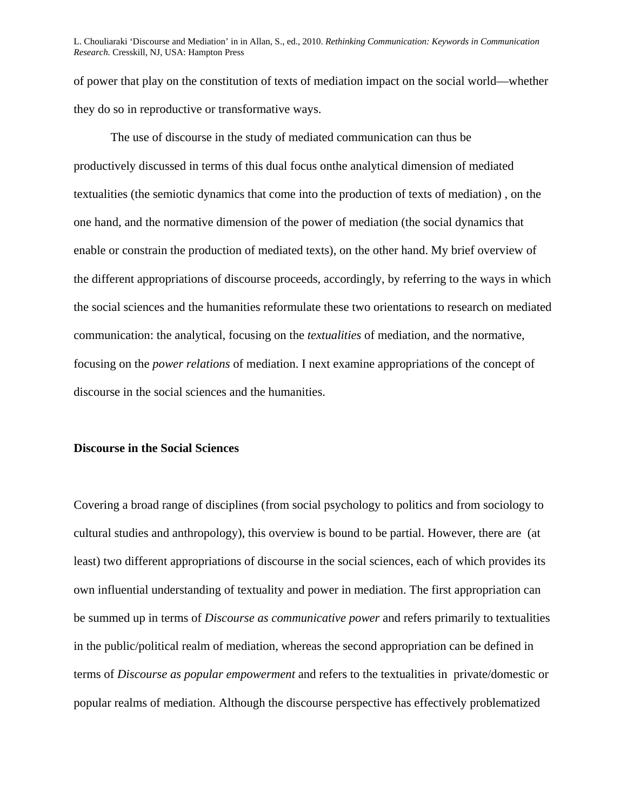of power that play on the constitution of texts of mediation impact on the social world—whether they do so in reproductive or transformative ways.

The use of discourse in the study of mediated communication can thus be productively discussed in terms of this dual focus onthe analytical dimension of mediated textualities (the semiotic dynamics that come into the production of texts of mediation) , on the one hand, and the normative dimension of the power of mediation (the social dynamics that enable or constrain the production of mediated texts), on the other hand. My brief overview of the different appropriations of discourse proceeds, accordingly, by referring to the ways in which the social sciences and the humanities reformulate these two orientations to research on mediated communication: the analytical, focusing on the *textualities* of mediation, and the normative, focusing on the *power relations* of mediation. I next examine appropriations of the concept of discourse in the social sciences and the humanities.

#### **Discourse in the Social Sciences**

Covering a broad range of disciplines (from social psychology to politics and from sociology to cultural studies and anthropology), this overview is bound to be partial. However, there are (at least) two different appropriations of discourse in the social sciences, each of which provides its own influential understanding of textuality and power in mediation. The first appropriation can be summed up in terms of *Discourse as communicative power* and refers primarily to textualities in the public/political realm of mediation, whereas the second appropriation can be defined in terms of *Discourse as popular empowerment* and refers to the textualities in private/domestic or popular realms of mediation. Although the discourse perspective has effectively problematized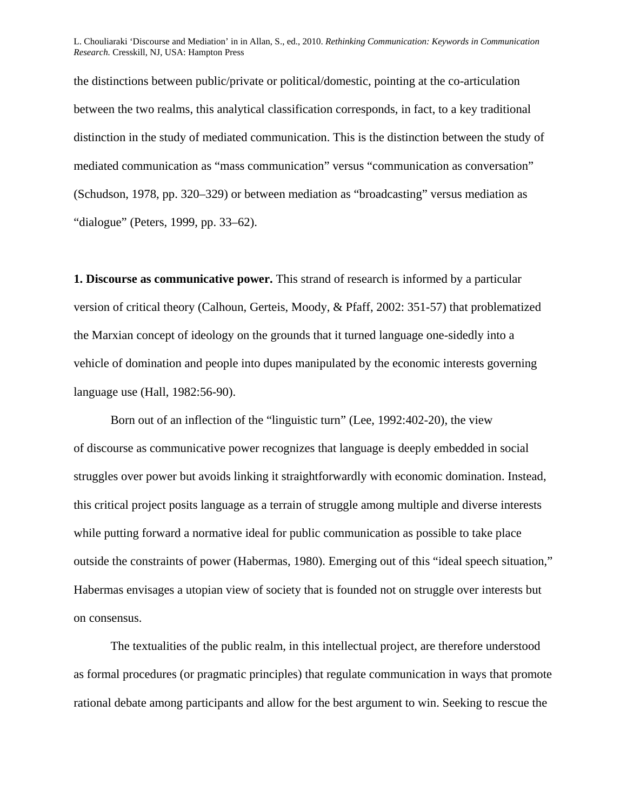the distinctions between public/private or political/domestic, pointing at the co-articulation between the two realms, this analytical classification corresponds, in fact, to a key traditional distinction in the study of mediated communication. This is the distinction between the study of mediated communication as "mass communication" versus "communication as conversation" (Schudson, 1978, pp. 320–329) or between mediation as "broadcasting" versus mediation as "dialogue" (Peters, 1999, pp. 33–62).

**1. Discourse as communicative power.** This strand of research is informed by a particular version of critical theory (Calhoun, Gerteis, Moody, & Pfaff, 2002: 351-57) that problematized the Marxian concept of ideology on the grounds that it turned language one-sidedly into a vehicle of domination and people into dupes manipulated by the economic interests governing language use (Hall, 1982:56-90).

Born out of an inflection of the "linguistic turn" (Lee, 1992:402-20), the view of discourse as communicative power recognizes that language is deeply embedded in social struggles over power but avoids linking it straightforwardly with economic domination. Instead, this critical project posits language as a terrain of struggle among multiple and diverse interests while putting forward a normative ideal for public communication as possible to take place outside the constraints of power (Habermas, 1980). Emerging out of this "ideal speech situation," Habermas envisages a utopian view of society that is founded not on struggle over interests but on consensus.

The textualities of the public realm, in this intellectual project, are therefore understood as formal procedures (or pragmatic principles) that regulate communication in ways that promote rational debate among participants and allow for the best argument to win. Seeking to rescue the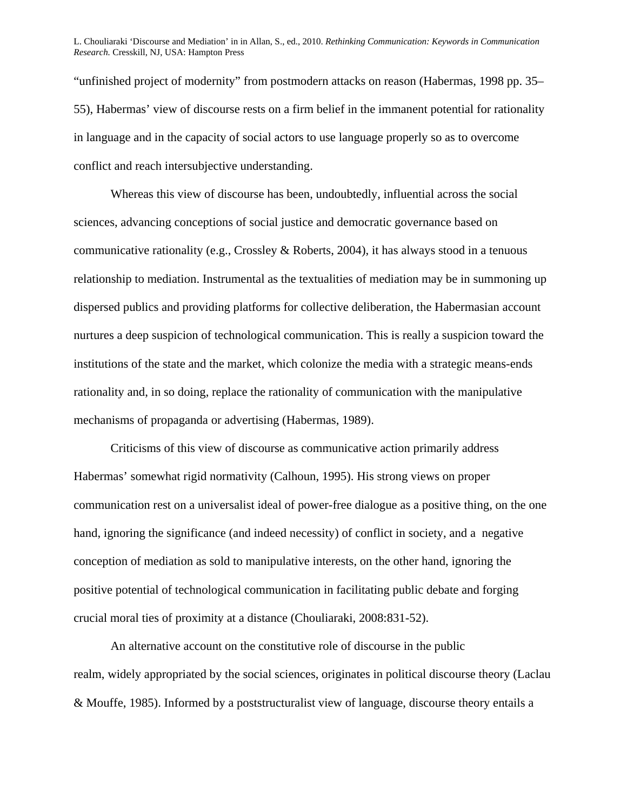"unfinished project of modernity" from postmodern attacks on reason (Habermas, 1998 pp. 35– 55), Habermas' view of discourse rests on a firm belief in the immanent potential for rationality in language and in the capacity of social actors to use language properly so as to overcome conflict and reach intersubjective understanding.

Whereas this view of discourse has been, undoubtedly, influential across the social sciences, advancing conceptions of social justice and democratic governance based on communicative rationality (e.g., Crossley & Roberts, 2004), it has always stood in a tenuous relationship to mediation. Instrumental as the textualities of mediation may be in summoning up dispersed publics and providing platforms for collective deliberation, the Habermasian account nurtures a deep suspicion of technological communication. This is really a suspicion toward the institutions of the state and the market, which colonize the media with a strategic means-ends rationality and, in so doing, replace the rationality of communication with the manipulative mechanisms of propaganda or advertising (Habermas, 1989).

Criticisms of this view of discourse as communicative action primarily address Habermas' somewhat rigid normativity (Calhoun, 1995). His strong views on proper communication rest on a universalist ideal of power-free dialogue as a positive thing, on the one hand, ignoring the significance (and indeed necessity) of conflict in society, and a negative conception of mediation as sold to manipulative interests, on the other hand, ignoring the positive potential of technological communication in facilitating public debate and forging crucial moral ties of proximity at a distance (Chouliaraki, 2008:831-52).

An alternative account on the constitutive role of discourse in the public realm, widely appropriated by the social sciences, originates in political discourse theory (Laclau & Mouffe, 1985). Informed by a poststructuralist view of language, discourse theory entails a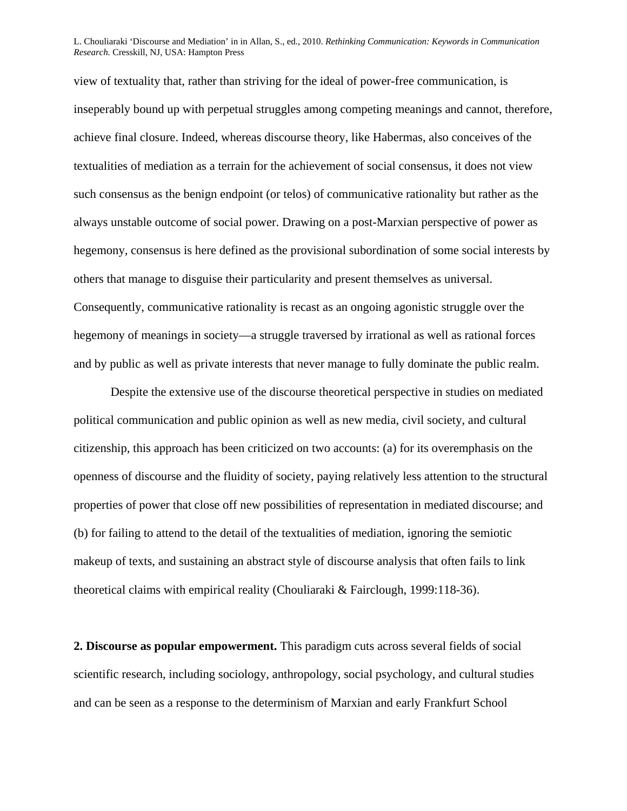view of textuality that, rather than striving for the ideal of power-free communication, is inseperably bound up with perpetual struggles among competing meanings and cannot, therefore, achieve final closure. Indeed, whereas discourse theory, like Habermas, also conceives of the textualities of mediation as a terrain for the achievement of social consensus, it does not view such consensus as the benign endpoint (or telos) of communicative rationality but rather as the always unstable outcome of social power. Drawing on a post-Marxian perspective of power as hegemony, consensus is here defined as the provisional subordination of some social interests by others that manage to disguise their particularity and present themselves as universal. Consequently, communicative rationality is recast as an ongoing agonistic struggle over the hegemony of meanings in society—a struggle traversed by irrational as well as rational forces and by public as well as private interests that never manage to fully dominate the public realm.

Despite the extensive use of the discourse theoretical perspective in studies on mediated political communication and public opinion as well as new media, civil society, and cultural citizenship, this approach has been criticized on two accounts: (a) for its overemphasis on the openness of discourse and the fluidity of society, paying relatively less attention to the structural properties of power that close off new possibilities of representation in mediated discourse; and (b) for failing to attend to the detail of the textualities of mediation, ignoring the semiotic makeup of texts, and sustaining an abstract style of discourse analysis that often fails to link theoretical claims with empirical reality (Chouliaraki & Fairclough, 1999:118-36).

**2. Discourse as popular empowerment.** This paradigm cuts across several fields of social scientific research, including sociology, anthropology, social psychology, and cultural studies and can be seen as a response to the determinism of Marxian and early Frankfurt School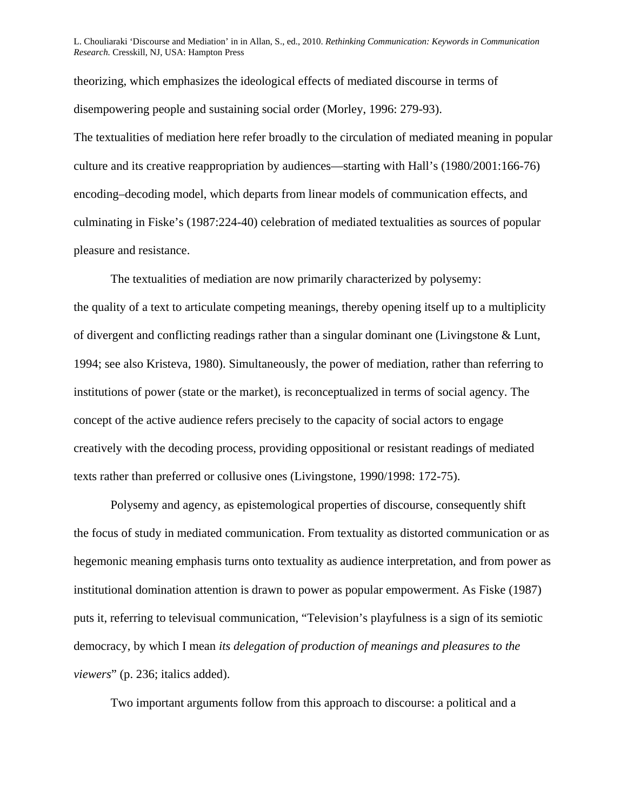theorizing, which emphasizes the ideological effects of mediated discourse in terms of disempowering people and sustaining social order (Morley, 1996: 279-93).

The textualities of mediation here refer broadly to the circulation of mediated meaning in popular culture and its creative reappropriation by audiences—starting with Hall's (1980/2001:166-76) encoding–decoding model, which departs from linear models of communication effects, and culminating in Fiske's (1987:224-40) celebration of mediated textualities as sources of popular pleasure and resistance.

The textualities of mediation are now primarily characterized by polysemy: the quality of a text to articulate competing meanings, thereby opening itself up to a multiplicity of divergent and conflicting readings rather than a singular dominant one (Livingstone & Lunt, 1994; see also Kristeva, 1980). Simultaneously, the power of mediation, rather than referring to institutions of power (state or the market), is reconceptualized in terms of social agency. The concept of the active audience refers precisely to the capacity of social actors to engage creatively with the decoding process, providing oppositional or resistant readings of mediated texts rather than preferred or collusive ones (Livingstone, 1990/1998: 172-75).

Polysemy and agency, as epistemological properties of discourse, consequently shift the focus of study in mediated communication. From textuality as distorted communication or as hegemonic meaning emphasis turns onto textuality as audience interpretation, and from power as institutional domination attention is drawn to power as popular empowerment. As Fiske (1987) puts it, referring to televisual communication, "Television's playfulness is a sign of its semiotic democracy, by which I mean *its delegation of production of meanings and pleasures to the viewers*" (p. 236; italics added).

Two important arguments follow from this approach to discourse: a political and a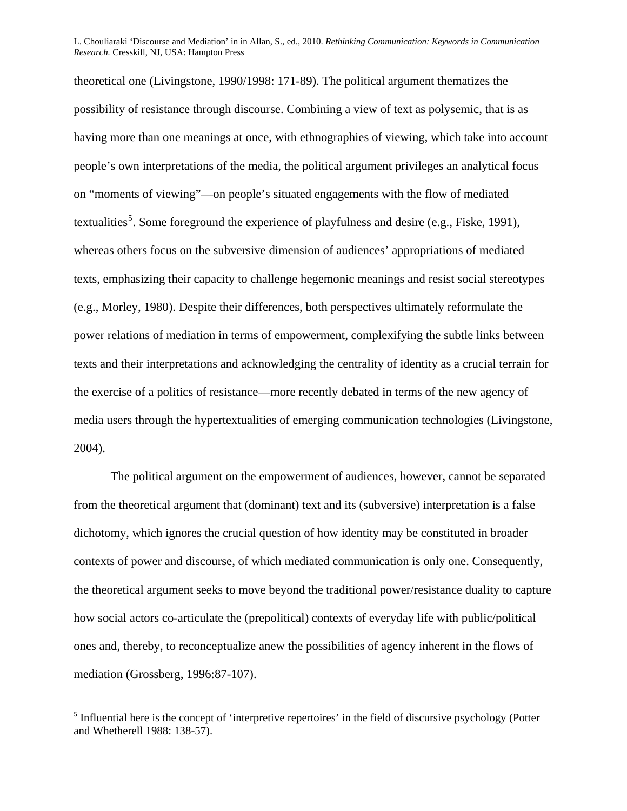theoretical one (Livingstone, 1990/1998: 171-89). The political argument thematizes the possibility of resistance through discourse. Combining a view of text as polysemic, that is as having more than one meanings at once, with ethnographies of viewing, which take into account people's own interpretations of the media, the political argument privileges an analytical focus on "moments of viewing"—on people's situated engagements with the flow of mediated textualities<sup>[5](#page-10-0)</sup>. Some foreground the experience of playfulness and desire (e.g., Fiske, 1991), whereas others focus on the subversive dimension of audiences' appropriations of mediated texts, emphasizing their capacity to challenge hegemonic meanings and resist social stereotypes (e.g., Morley, 1980). Despite their differences, both perspectives ultimately reformulate the power relations of mediation in terms of empowerment, complexifying the subtle links between texts and their interpretations and acknowledging the centrality of identity as a crucial terrain for the exercise of a politics of resistance—more recently debated in terms of the new agency of media users through the hypertextualities of emerging communication technologies (Livingstone, 2004).

The political argument on the empowerment of audiences, however, cannot be separated from the theoretical argument that (dominant) text and its (subversive) interpretation is a false dichotomy, which ignores the crucial question of how identity may be constituted in broader contexts of power and discourse, of which mediated communication is only one. Consequently, the theoretical argument seeks to move beyond the traditional power/resistance duality to capture how social actors co-articulate the (prepolitical) contexts of everyday life with public/political ones and, thereby, to reconceptualize anew the possibilities of agency inherent in the flows of mediation (Grossberg, 1996:87-107).

 $\overline{a}$ 

<span id="page-10-0"></span> $<sup>5</sup>$  Influential here is the concept of 'interpretive repertoires' in the field of discursive psychology (Potter</sup> and Whetherell 1988: 138-57).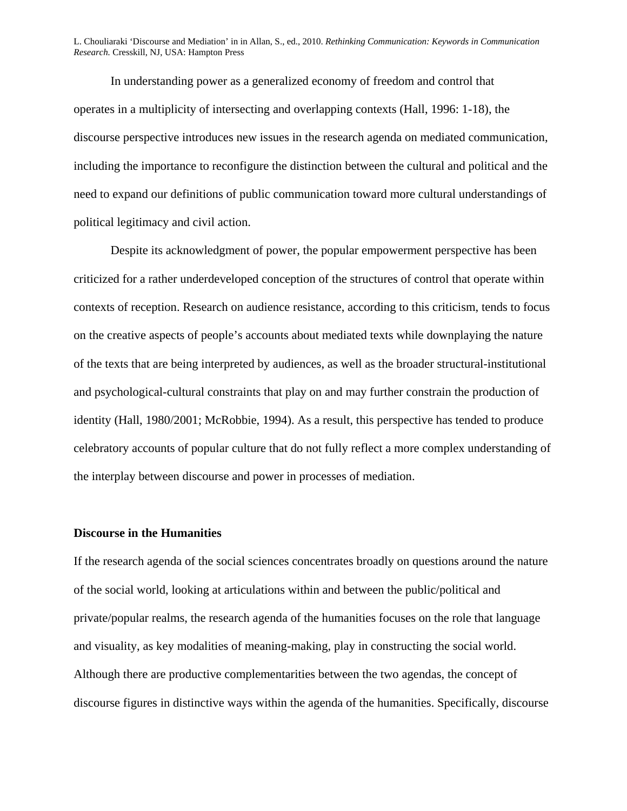In understanding power as a generalized economy of freedom and control that operates in a multiplicity of intersecting and overlapping contexts (Hall, 1996: 1-18), the discourse perspective introduces new issues in the research agenda on mediated communication, including the importance to reconfigure the distinction between the cultural and political and the need to expand our definitions of public communication toward more cultural understandings of political legitimacy and civil action.

Despite its acknowledgment of power, the popular empowerment perspective has been criticized for a rather underdeveloped conception of the structures of control that operate within contexts of reception. Research on audience resistance, according to this criticism, tends to focus on the creative aspects of people's accounts about mediated texts while downplaying the nature of the texts that are being interpreted by audiences, as well as the broader structural-institutional and psychological-cultural constraints that play on and may further constrain the production of identity (Hall, 1980/2001; McRobbie, 1994). As a result, this perspective has tended to produce celebratory accounts of popular culture that do not fully reflect a more complex understanding of the interplay between discourse and power in processes of mediation.

#### **Discourse in the Humanities**

If the research agenda of the social sciences concentrates broadly on questions around the nature of the social world, looking at articulations within and between the public/political and private/popular realms, the research agenda of the humanities focuses on the role that language and visuality, as key modalities of meaning-making, play in constructing the social world. Although there are productive complementarities between the two agendas, the concept of discourse figures in distinctive ways within the agenda of the humanities. Specifically, discourse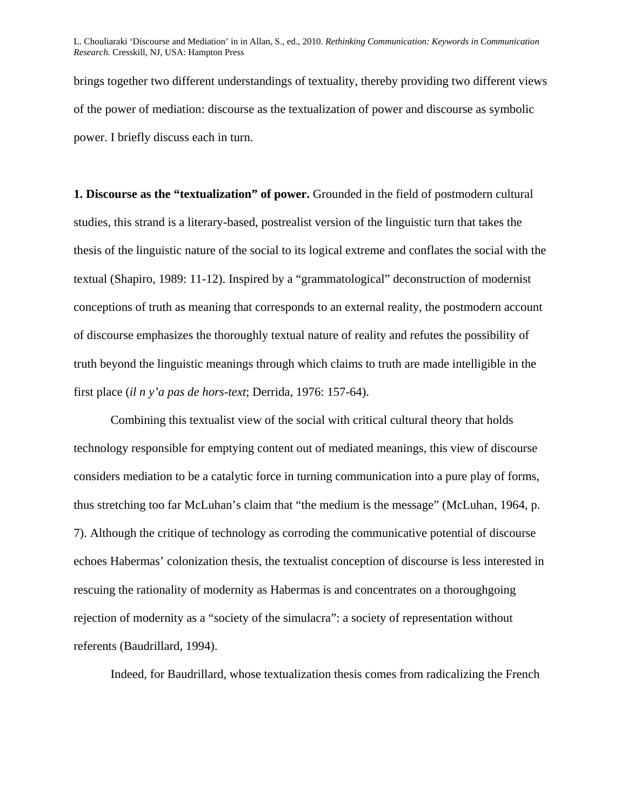brings together two different understandings of textuality, thereby providing two different views of the power of mediation: discourse as the textualization of power and discourse as symbolic power. I briefly discuss each in turn.

**1. Discourse as the "textualization" of power.** Grounded in the field of postmodern cultural studies, this strand is a literary-based, postrealist version of the linguistic turn that takes the thesis of the linguistic nature of the social to its logical extreme and conflates the social with the textual (Shapiro, 1989: 11-12). Inspired by a "grammatological" deconstruction of modernist conceptions of truth as meaning that corresponds to an external reality, the postmodern account of discourse emphasizes the thoroughly textual nature of reality and refutes the possibility of truth beyond the linguistic meanings through which claims to truth are made intelligible in the first place (*il n y'a pas de hors-text*; Derrida, 1976: 157-64).

Combining this textualist view of the social with critical cultural theory that holds technology responsible for emptying content out of mediated meanings, this view of discourse considers mediation to be a catalytic force in turning communication into a pure play of forms, thus stretching too far McLuhan's claim that "the medium is the message" (McLuhan, 1964, p. 7). Although the critique of technology as corroding the communicative potential of discourse echoes Habermas' colonization thesis, the textualist conception of discourse is less interested in rescuing the rationality of modernity as Habermas is and concentrates on a thoroughgoing rejection of modernity as a "society of the simulacra": a society of representation without referents (Baudrillard, 1994).

Indeed, for Baudrillard, whose textualization thesis comes from radicalizing the French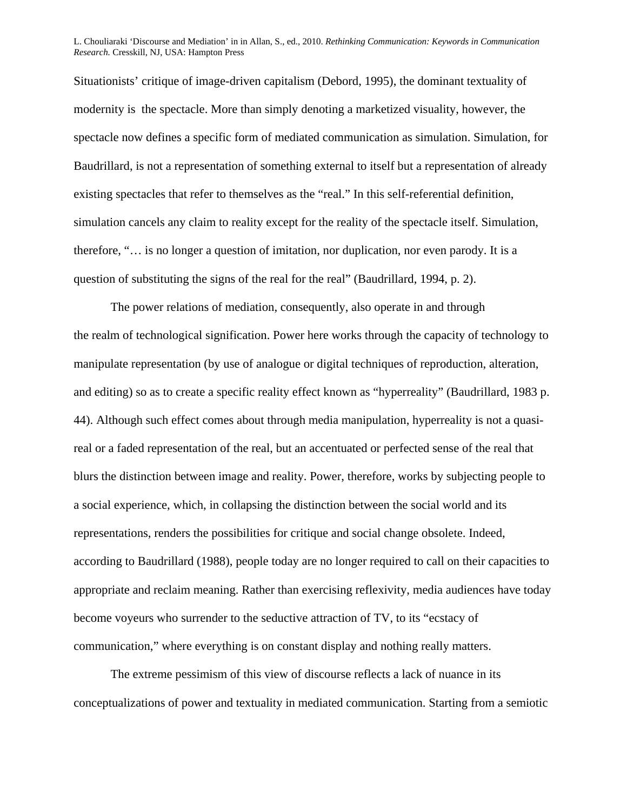Situationists' critique of image-driven capitalism (Debord, 1995), the dominant textuality of modernity is the spectacle. More than simply denoting a marketized visuality, however, the spectacle now defines a specific form of mediated communication as simulation. Simulation, for Baudrillard, is not a representation of something external to itself but a representation of already existing spectacles that refer to themselves as the "real." In this self-referential definition, simulation cancels any claim to reality except for the reality of the spectacle itself. Simulation, therefore, "… is no longer a question of imitation, nor duplication, nor even parody. It is a question of substituting the signs of the real for the real" (Baudrillard, 1994, p. 2).

The power relations of mediation, consequently, also operate in and through the realm of technological signification. Power here works through the capacity of technology to manipulate representation (by use of analogue or digital techniques of reproduction, alteration, and editing) so as to create a specific reality effect known as "hyperreality" (Baudrillard, 1983 p. 44). Although such effect comes about through media manipulation, hyperreality is not a quasireal or a faded representation of the real, but an accentuated or perfected sense of the real that blurs the distinction between image and reality. Power, therefore, works by subjecting people to a social experience, which, in collapsing the distinction between the social world and its representations, renders the possibilities for critique and social change obsolete. Indeed, according to Baudrillard (1988), people today are no longer required to call on their capacities to appropriate and reclaim meaning. Rather than exercising reflexivity, media audiences have today become voyeurs who surrender to the seductive attraction of TV, to its "ecstacy of communication," where everything is on constant display and nothing really matters.

The extreme pessimism of this view of discourse reflects a lack of nuance in its conceptualizations of power and textuality in mediated communication. Starting from a semiotic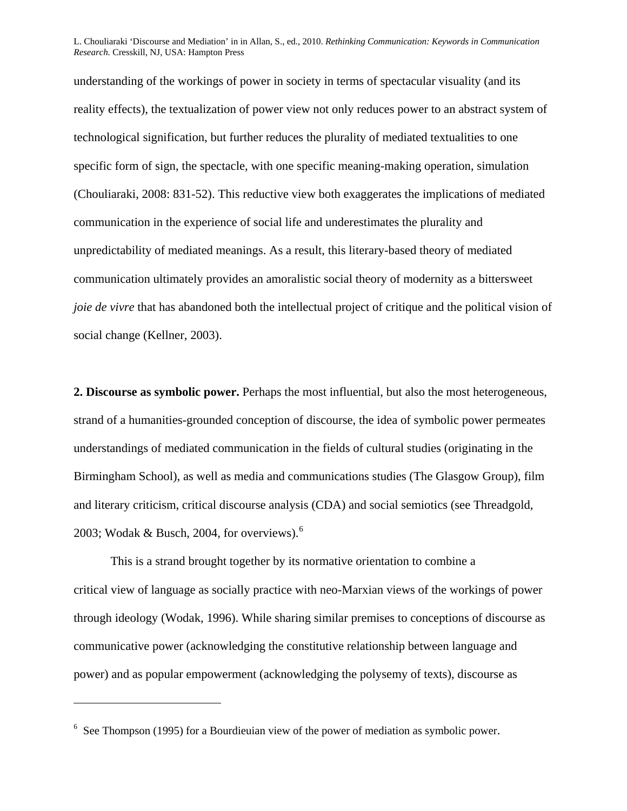understanding of the workings of power in society in terms of spectacular visuality (and its reality effects), the textualization of power view not only reduces power to an abstract system of technological signification, but further reduces the plurality of mediated textualities to one specific form of sign, the spectacle, with one specific meaning-making operation, simulation (Chouliaraki, 2008: 831-52). This reductive view both exaggerates the implications of mediated communication in the experience of social life and underestimates the plurality and unpredictability of mediated meanings. As a result, this literary-based theory of mediated communication ultimately provides an amoralistic social theory of modernity as a bittersweet *joie de vivre* that has abandoned both the intellectual project of critique and the political vision of social change (Kellner, 2003).

**2. Discourse as symbolic power.** Perhaps the most influential, but also the most heterogeneous, strand of a humanities-grounded conception of discourse, the idea of symbolic power permeates understandings of mediated communication in the fields of cultural studies (originating in the Birmingham School), as well as media and communications studies (The Glasgow Group), film and literary criticism, critical discourse analysis (CDA) and social semiotics (see Threadgold, 2003; Wodak & Busch, 2004, for overviews). $^6$  $^6$ 

This is a strand brought together by its normative orientation to combine a critical view of language as socially practice with neo-Marxian views of the workings of power through ideology (Wodak, 1996). While sharing similar premises to conceptions of discourse as communicative power (acknowledging the constitutive relationship between language and power) and as popular empowerment (acknowledging the polysemy of texts), discourse as

 $\overline{a}$ 

<span id="page-14-0"></span> $6$  See Thompson (1995) for a Bourdieuian view of the power of mediation as symbolic power.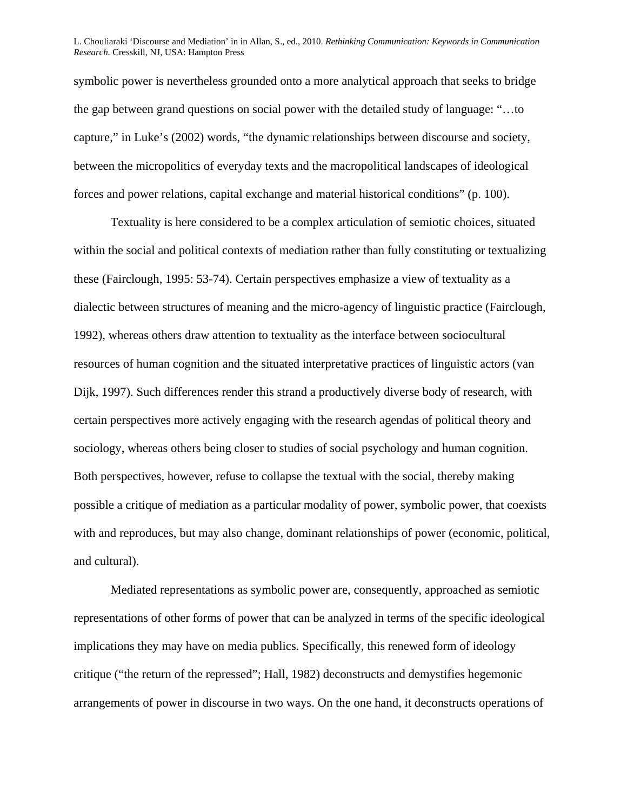symbolic power is nevertheless grounded onto a more analytical approach that seeks to bridge the gap between grand questions on social power with the detailed study of language: "…to capture," in Luke's (2002) words, "the dynamic relationships between discourse and society, between the micropolitics of everyday texts and the macropolitical landscapes of ideological forces and power relations, capital exchange and material historical conditions" (p. 100).

Textuality is here considered to be a complex articulation of semiotic choices, situated within the social and political contexts of mediation rather than fully constituting or textualizing these (Fairclough, 1995: 53-74). Certain perspectives emphasize a view of textuality as a dialectic between structures of meaning and the micro-agency of linguistic practice (Fairclough, 1992), whereas others draw attention to textuality as the interface between sociocultural resources of human cognition and the situated interpretative practices of linguistic actors (van Dijk, 1997). Such differences render this strand a productively diverse body of research, with certain perspectives more actively engaging with the research agendas of political theory and sociology, whereas others being closer to studies of social psychology and human cognition. Both perspectives, however, refuse to collapse the textual with the social, thereby making possible a critique of mediation as a particular modality of power, symbolic power, that coexists with and reproduces, but may also change, dominant relationships of power (economic, political, and cultural).

Mediated representations as symbolic power are, consequently, approached as semiotic representations of other forms of power that can be analyzed in terms of the specific ideological implications they may have on media publics. Specifically, this renewed form of ideology critique ("the return of the repressed"; Hall, 1982) deconstructs and demystifies hegemonic arrangements of power in discourse in two ways. On the one hand, it deconstructs operations of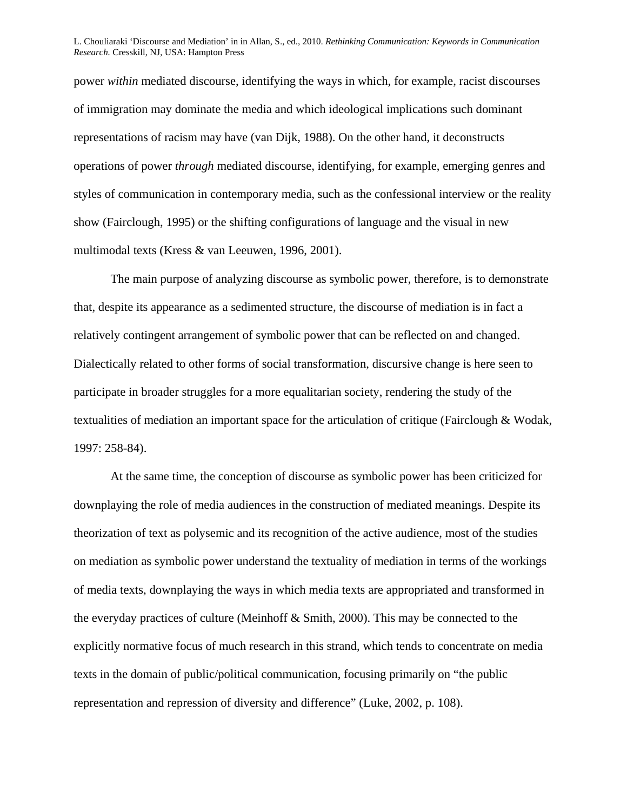power *within* mediated discourse, identifying the ways in which, for example, racist discourses of immigration may dominate the media and which ideological implications such dominant representations of racism may have (van Dijk, 1988). On the other hand, it deconstructs operations of power *through* mediated discourse, identifying, for example, emerging genres and styles of communication in contemporary media, such as the confessional interview or the reality show (Fairclough, 1995) or the shifting configurations of language and the visual in new multimodal texts (Kress & van Leeuwen, 1996, 2001).

The main purpose of analyzing discourse as symbolic power, therefore, is to demonstrate that, despite its appearance as a sedimented structure, the discourse of mediation is in fact a relatively contingent arrangement of symbolic power that can be reflected on and changed. Dialectically related to other forms of social transformation, discursive change is here seen to participate in broader struggles for a more equalitarian society, rendering the study of the textualities of mediation an important space for the articulation of critique (Fairclough & Wodak, 1997: 258-84).

At the same time, the conception of discourse as symbolic power has been criticized for downplaying the role of media audiences in the construction of mediated meanings. Despite its theorization of text as polysemic and its recognition of the active audience, most of the studies on mediation as symbolic power understand the textuality of mediation in terms of the workings of media texts, downplaying the ways in which media texts are appropriated and transformed in the everyday practices of culture (Meinhoff & Smith, 2000). This may be connected to the explicitly normative focus of much research in this strand, which tends to concentrate on media texts in the domain of public/political communication, focusing primarily on "the public representation and repression of diversity and difference" (Luke, 2002, p. 108).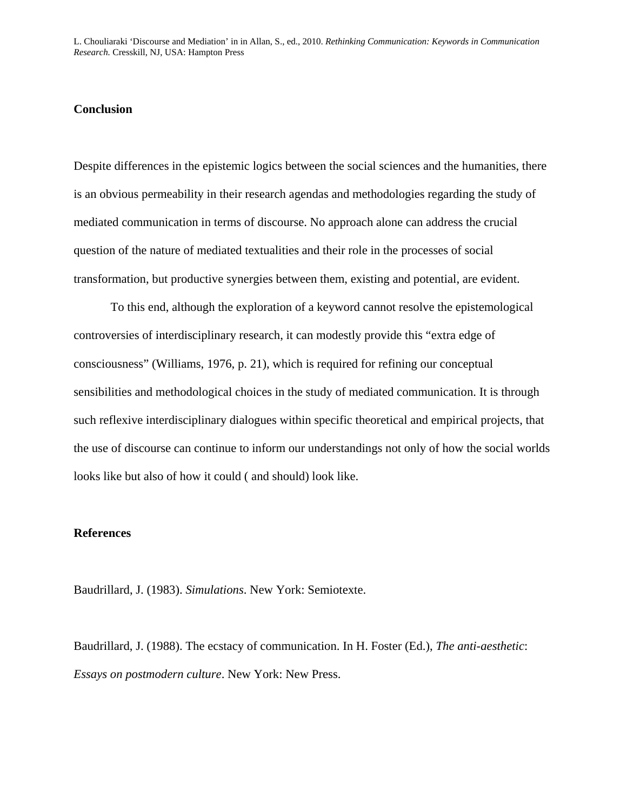#### **Conclusion**

Despite differences in the epistemic logics between the social sciences and the humanities, there is an obvious permeability in their research agendas and methodologies regarding the study of mediated communication in terms of discourse. No approach alone can address the crucial question of the nature of mediated textualities and their role in the processes of social transformation, but productive synergies between them, existing and potential, are evident.

To this end, although the exploration of a keyword cannot resolve the epistemological controversies of interdisciplinary research, it can modestly provide this "extra edge of consciousness" (Williams, 1976, p. 21), which is required for refining our conceptual sensibilities and methodological choices in the study of mediated communication. It is through such reflexive interdisciplinary dialogues within specific theoretical and empirical projects, that the use of discourse can continue to inform our understandings not only of how the social worlds looks like but also of how it could ( and should) look like.

#### **References**

Baudrillard, J. (1983). *Simulations*. New York: Semiotexte.

Baudrillard, J. (1988). The ecstacy of communication. In H. Foster (Ed.), *The anti-aesthetic*: *Essays on postmodern culture*. New York: New Press.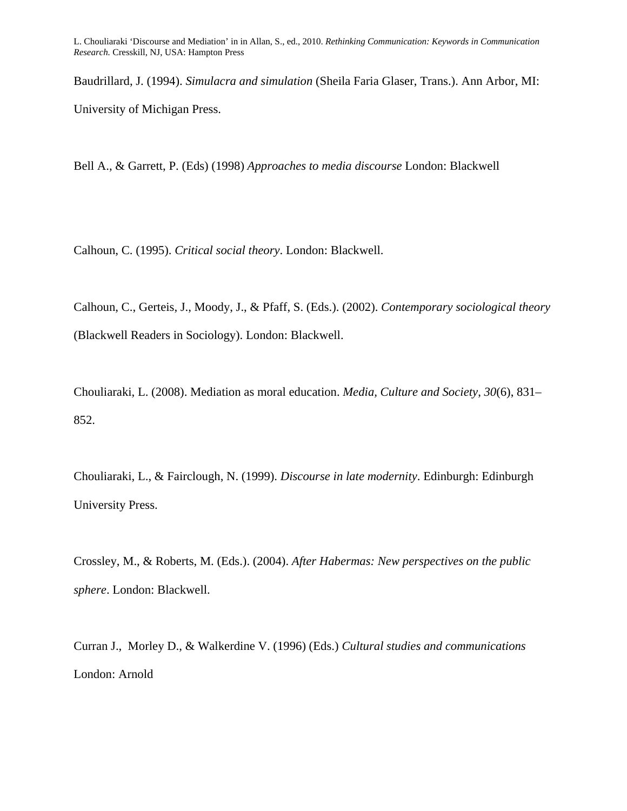Baudrillard, J. (1994). *Simulacra and simulation* (Sheila Faria Glaser, Trans.). Ann Arbor, MI: University of Michigan Press.

Bell A., & Garrett, P. (Eds) (1998) *Approaches to media discourse* London: Blackwell

Calhoun, C. (1995). *Critical social theory*. London: Blackwell.

Calhoun, C., Gerteis, J., Moody, J., & Pfaff, S. (Eds.). (2002). *[Contemporary sociological theory](http://www.amazon.co.uk/Contemporary-Sociological-Blackwell-Readers-Sociology/dp/0631213503/ref=sr_1_1?ie=UTF8&s=books&qid=1252694426&sr=1-1)* [\(Blackwell Readers in Sociology\)](http://www.amazon.co.uk/Contemporary-Sociological-Blackwell-Readers-Sociology/dp/0631213503/ref=sr_1_1?ie=UTF8&s=books&qid=1252694426&sr=1-1). London: Blackwell.

Chouliaraki, L. (2008). Mediation as moral education. *Media, Culture and Society*, *30*(6), 831– 852.

Chouliaraki, L., & Fairclough, N. (1999). *Discourse in late modernity*. Edinburgh: Edinburgh University Press.

Crossley, M., & Roberts, M. (Eds.). (2004). *After Habermas: New perspectives on the public sphere*. London: Blackwell.

Curran J., Morley D., & Walkerdine V. (1996) (Eds.) *Cultural studies and communications* London: Arnold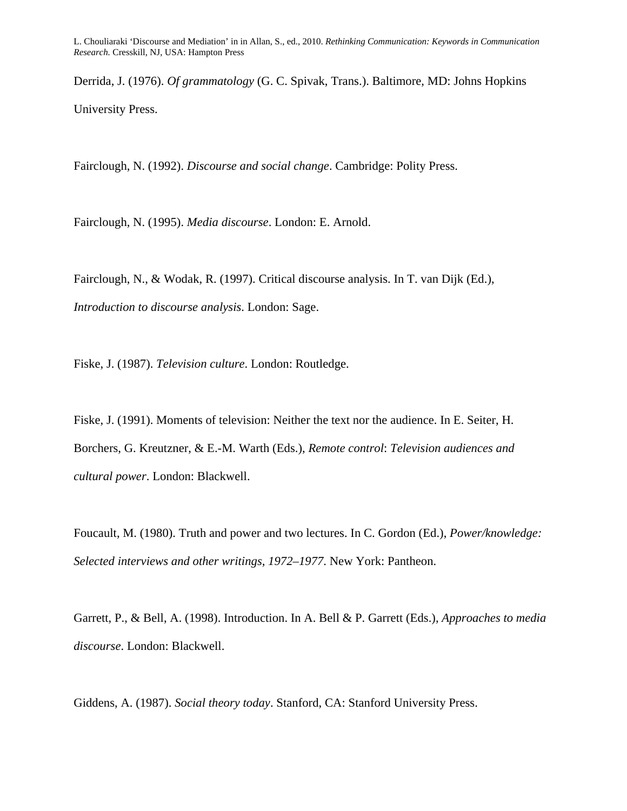Derrida, J. (1976). *Of grammatology* (G. C. Spivak, Trans.). Baltimore, MD: Johns Hopkins University Press.

Fairclough, N. (1992). *Discourse and social change*. Cambridge: Polity Press.

Fairclough, N. (1995). *Media discourse*. London: E. Arnold.

Fairclough, N., & Wodak, R. (1997). Critical discourse analysis. In T. van Dijk (Ed.), *Introduction to discourse analysis*. London: Sage.

Fiske, J. (1987). *Television culture*. London: Routledge.

Fiske, J. (1991). Moments of television: Neither the text nor the audience. In E. Seiter, H. Borchers, G. Kreutzner, & E.-M. Warth (Eds.), *Remote control*: *Television audiences and cultural power*. London: Blackwell.

Foucault, M. (1980). Truth and power and two lectures. In C. Gordon (Ed.), *Power/knowledge: Selected interviews and other writings, 1972–1977*. New York: Pantheon.

Garrett, P., & Bell, A. (1998). Introduction. In A. Bell & P. Garrett (Eds.), *Approaches to media discourse*. London: Blackwell.

Giddens, A. (1987). *Social theory today*. Stanford, CA: Stanford University Press.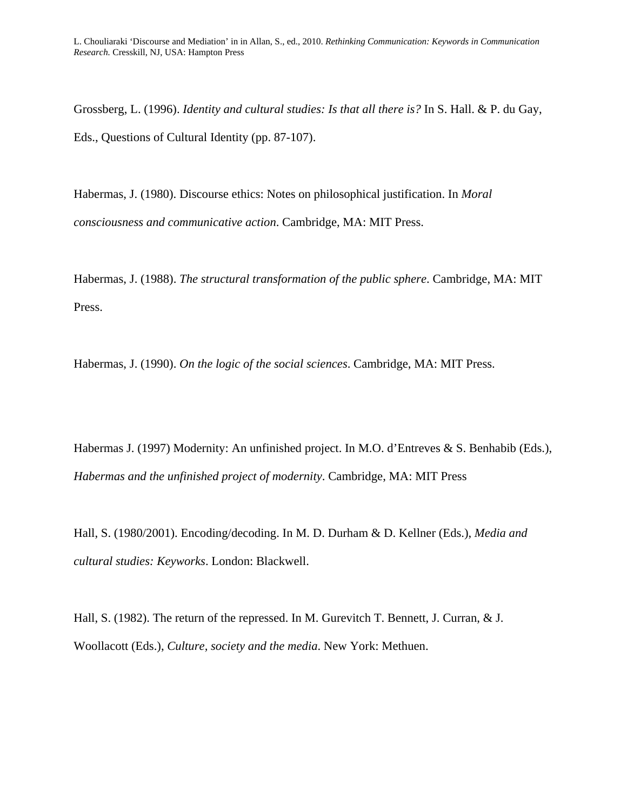Grossberg, L. (1996). *Identity and cultural studies: Is that all there is?* In S. Hall. & P. du Gay, Eds., Questions of Cultural Identity (pp. 87-107).

Habermas, J. (1980). Discourse ethics: Notes on philosophical justification. In *Moral consciousness and communicative action*. Cambridge, MA: MIT Press.

Habermas, J. (1988). *The structural transformation of the public sphere*. Cambridge, MA: MIT Press.

Habermas, J. (1990). *On the logic of the social sciences*. Cambridge, MA: MIT Press.

Habermas J. (1997) Modernity: An unfinished project. In M.O. d'Entreves & S. Benhabib (Eds.), *Habermas and the unfinished project of modernity*. Cambridge, MA: MIT Press

Hall, S. (1980/2001). Encoding/decoding. In M. D. Durham & D. Kellner (Eds.), *Media and cultural studies: Keyworks*. London: Blackwell.

Hall, S. (1982). The return of the repressed. In M. Gurevitch T. Bennett, J. Curran, & J. Woollacott (Eds.), *Culture, society and the media*. New York: Methuen.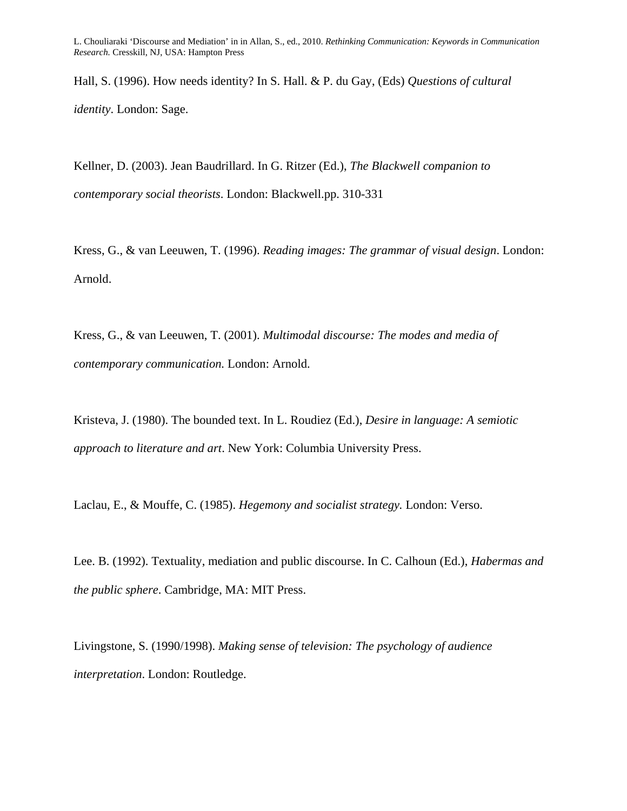Hall, S. (1996). How needs identity? In S. Hall. & P. du Gay, (Eds) *Questions of cultural identity*. London: Sage.

Kellner, D. (2003). Jean Baudrillard. In G. Ritzer (Ed.), *The Blackwell companion to contemporary social theorists*. London: Blackwell.pp. 310-331

Kress, G., & van Leeuwen, T. (1996). *Reading images: The grammar of visual design*. London: Arnold.

Kress, G., & van Leeuwen, T. (2001). *Multimodal discourse: The modes and media of contemporary communication.* London: Arnold.

Kristeva, J. (1980). The bounded text. In L. Roudiez (Ed.), *Desire in language: A semiotic approach to literature and art*. New York: Columbia University Press.

Laclau, E., & Mouffe, C. (1985). *Hegemony and socialist strategy.* London: Verso.

Lee. B. (1992). Textuality, mediation and public discourse. In C. Calhoun (Ed.), *Habermas and the public sphere*. Cambridge, MA: MIT Press.

Livingstone, S. (1990/1998). *Making sense of television: The psychology of audience interpretation*. London: Routledge.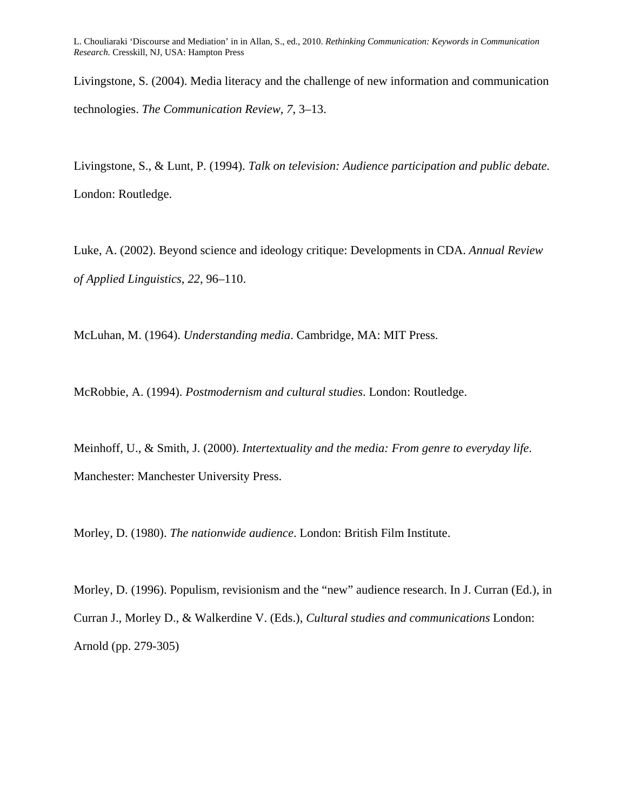Livingstone, S. (2004). Media literacy and the challenge of new information and communication technologies. *The Communication Review*, *7*, 3–13.

Livingstone, S., & Lunt, P. (1994). *Talk on television: Audience participation and public debate.* London: Routledge.

Luke, A. (2002). Beyond science and ideology critique: Developments in CDA. *[Annual Review](http://journals.cambridge.org/action/displayAbstract;jsessionid=6A8FAF8482C48C801682E7A2B7279909.tomcat1?fromPage=online&aid=135893##)  [of Applied Linguistics](http://journals.cambridge.org/action/displayAbstract;jsessionid=6A8FAF8482C48C801682E7A2B7279909.tomcat1?fromPage=online&aid=135893##)*, *22*, 96–110.

McLuhan, M. (1964). *Understanding media*. Cambridge, MA: MIT Press.

McRobbie, A. (1994). *Postmodernism and cultural studies*. London: Routledge.

Meinhoff, U., & Smith, J. (2000). *Intertextuality and the media: From genre to everyday life*. Manchester: Manchester University Press.

Morley, D. (1980). *The nationwide audience*. London: British Film Institute.

Morley, D. (1996). Populism, revisionism and the "new" audience research. In J. Curran (Ed.), in Curran J., Morley D., & Walkerdine V. (Eds.), *Cultural studies and communications* London: Arnold (pp. 279-305)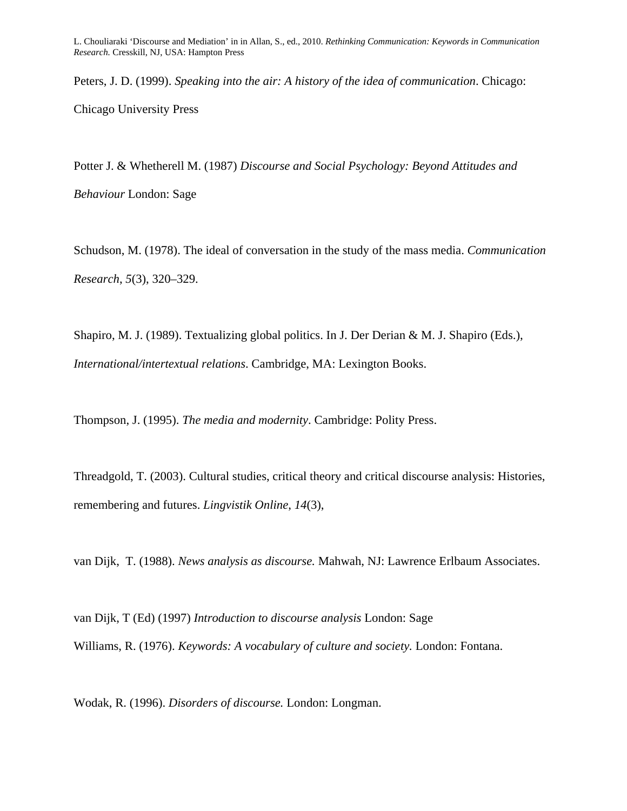Peters, J. D. (1999). *Speaking into the air: A history of the idea of communication*. Chicago: Chicago University Press

Potter J. & Whetherell M. (1987) *Discourse and Social Psychology: Beyond Attitudes and Behaviour* London: Sage

Schudson, M. (1978). The ideal of conversation in the study of the mass media. *Communication Research*, *5*(3), 320–329.

Shapiro, M. J. (1989). Textualizing global politics. In J. Der Derian & M. J. Shapiro (Eds.), *International/intertextual relations*. Cambridge, MA: Lexington Books.

Thompson, J. (1995). *The media and modernity*. Cambridge: Polity Press.

Threadgold, T. (2003). Cultural studies, critical theory and critical discourse analysis: Histories, remembering and futures. *Lingvistik Online*, *14*(3),

van Dijk, T. (1988). *News analysis as discourse.* Mahwah, NJ: Lawrence Erlbaum Associates.

van Dijk, T (Ed) (1997) *Introduction to discourse analysis* London: Sage Williams, R. (1976). *Keywords: A vocabulary of culture and society.* London: Fontana.

Wodak, R. (1996). *Disorders of discourse.* London: Longman.